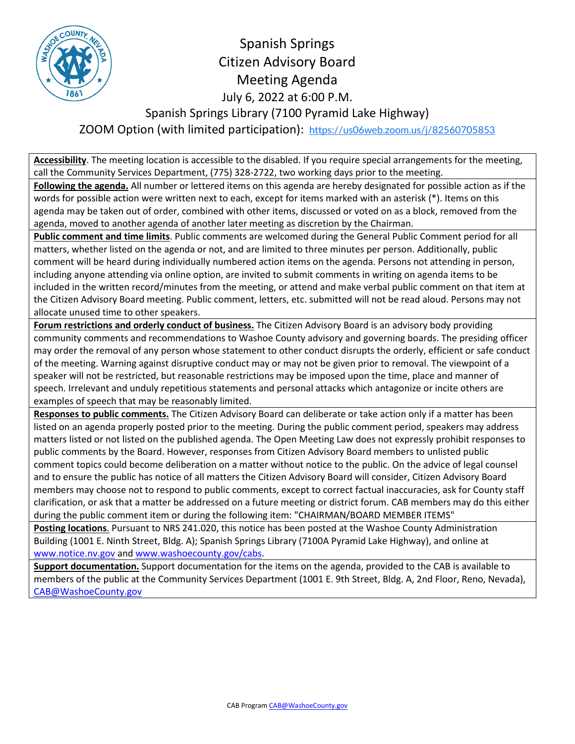

Spanish Springs Citizen Advisory Board Meeting Agenda July 6, 2022 at 6:00 P.M. Spanish Springs Library (7100 Pyramid Lake Highway) ZOOM Option (with limited participation): <https://us06web.zoom.us/j/82560705853>

**Accessibility**. The meeting location is accessible to the disabled. If you require special arrangements for the meeting, call the Community Services Department, (775) 328-2722, two working days prior to the meeting.

**Following the agenda.** All number or lettered items on this agenda are hereby designated for possible action as if the words for possible action were written next to each, except for items marked with an asterisk (\*). Items on this agenda may be taken out of order, combined with other items, discussed or voted on as a block, removed from the agenda, moved to another agenda of another later meeting as discretion by the Chairman.

**Public comment and time limits**. Public comments are welcomed during the General Public Comment period for all matters, whether listed on the agenda or not, and are limited to three minutes per person. Additionally, public comment will be heard during individually numbered action items on the agenda. Persons not attending in person, including anyone attending via online option, are invited to submit comments in writing on agenda items to be included in the written record/minutes from the meeting, or attend and make verbal public comment on that item at the Citizen Advisory Board meeting. Public comment, letters, etc. submitted will not be read aloud. Persons may not allocate unused time to other speakers.

**Forum restrictions and orderly conduct of business.** The Citizen Advisory Board is an advisory body providing community comments and recommendations to Washoe County advisory and governing boards. The presiding officer may order the removal of any person whose statement to other conduct disrupts the orderly, efficient or safe conduct of the meeting. Warning against disruptive conduct may or may not be given prior to removal. The viewpoint of a speaker will not be restricted, but reasonable restrictions may be imposed upon the time, place and manner of speech. Irrelevant and unduly repetitious statements and personal attacks which antagonize or incite others are examples of speech that may be reasonably limited.

**Responses to public comments.** The Citizen Advisory Board can deliberate or take action only if a matter has been listed on an agenda properly posted prior to the meeting. During the public comment period, speakers may address matters listed or not listed on the published agenda. The Open Meeting Law does not expressly prohibit responses to public comments by the Board. However, responses from Citizen Advisory Board members to unlisted public comment topics could become deliberation on a matter without notice to the public. On the advice of legal counsel and to ensure the public has notice of all matters the Citizen Advisory Board will consider, Citizen Advisory Board members may choose not to respond to public comments, except to correct factual inaccuracies, ask for County staff clarification, or ask that a matter be addressed on a future meeting or district forum. CAB members may do this either during the public comment item or during the following item: "CHAIRMAN/BOARD MEMBER ITEMS"

**Posting locations**. Pursuant to NRS 241.020, this notice has been posted at the Washoe County Administration Building (1001 E. Ninth Street, Bldg. A); Spanish Springs Library (7100A Pyramid Lake Highway), and online at [www.notice.nv.gov](http://www.notice.nv.gov/) and [www.washoecounty.gov/cabs.](http://www.washoecounty.gov/cabs)

**Support documentation.** Support documentation for the items on the agenda, provided to the CAB is available to members of the public at the Community Services Department (1001 E. 9th Street, Bldg. A, 2nd Floor, Reno, Nevada), [CAB@WashoeCounty.gov](mailto:CAB@WashoeCounty.gov)